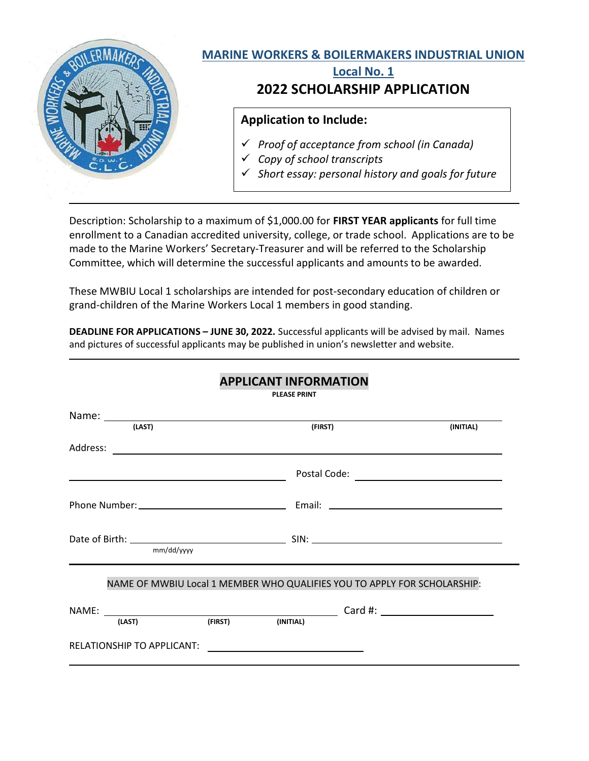

Description: Scholarship to a maximum of \$1,000.00 for FIRST YEAR applicants for full time enrollment to a Canadian accredited university, college, or trade school. Applications are to be made to the Marine Workers' Secretary-Treasurer and will be referred to the Scholarship Committee, which will determine the successful applicants and amounts to be awarded.

These MWBIU Local 1 scholarships are intended for post-secondary education of children or grand-children of the Marine Workers Local 1 members in good standing.

DEADLINE FOR APPLICATIONS – JUNE 30, 2022. Successful applicants will be advised by mail. Names and pictures of successful applicants may be published in union's newsletter and website.

|                                   |                          | <b>APPLICANT INFUNNIATION</b><br><b>PLEASE PRINT</b>                     |           |
|-----------------------------------|--------------------------|--------------------------------------------------------------------------|-----------|
|                                   |                          |                                                                          |           |
| (LAST)                            |                          | (FIRST)                                                                  | (INITIAL) |
| Address:                          |                          |                                                                          |           |
|                                   |                          |                                                                          |           |
|                                   |                          |                                                                          |           |
| mm/dd/yyyy                        |                          |                                                                          |           |
|                                   |                          | NAME OF MWBIU Local 1 MEMBER WHO QUALIFIES YOU TO APPLY FOR SCHOLARSHIP: |           |
|                                   | (LAST) (FIRST) (INITIAL) |                                                                          |           |
| <b>RELATIONSHIP TO APPLICANT:</b> |                          |                                                                          |           |

## APPLICANT INFORMATION